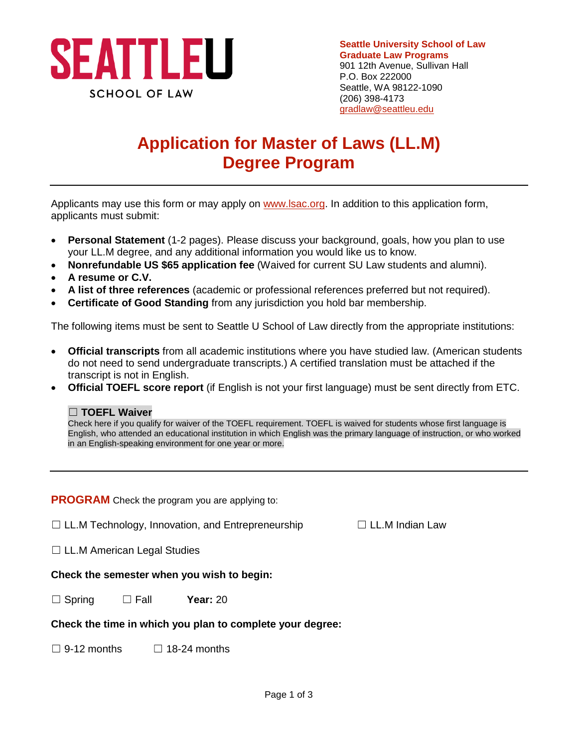

# **Application for Master of Laws (LL.M) Degree Program**

Applicants may use this form or may apply on www.lsac.org. In addition to this application form, applicants must submit:

- **Personal Statement** (1-2 pages). Please discuss your background, goals, how you plan to use your LL.M degree, and any additional information you would like us to know.
- **Nonrefundable US \$65 application fee** (Waived for current SU Law students and alumni).
- **A resume or C.V.**
- **A list of three references** (academic or professional references preferred but not required).
- **Certificate of Good Standing** from any jurisdiction you hold bar membership.

The following items must be sent to Seattle U School of Law directly from the appropriate institutions:

- **Official transcripts** from all academic institutions where you have studied law. (American students do not need to send undergraduate transcripts.) A certified translation must be attached if the transcript is not in English.
- **Official TOEFL score report** (if English is not your first language) must be sent directly from ETC.

### ☐ **TOEFL Waiver**

Check here if you qualify for waiver of the TOEFL requirement. TOEFL is waived for students whose first language is English, who attended an educational institution in which English was the primary language of instruction, or who worked in an English-speaking environment for one year or more.

**PROGRAM** Check the program you are applying to:

☐ LL.M Technology, Innovation, and Entrepreneurship ☐ LL.M Indian Law

☐ LL.M American Legal Studies

### **Check the semester when you wish to begin:**

|  | $\Box$ Spring | $\Box$ Fall | <b>Year: 20</b> |  |
|--|---------------|-------------|-----------------|--|
|--|---------------|-------------|-----------------|--|

#### **Check the time in which you plan to complete your degree:**

 $\Box$  9-12 months  $\Box$  18-24 months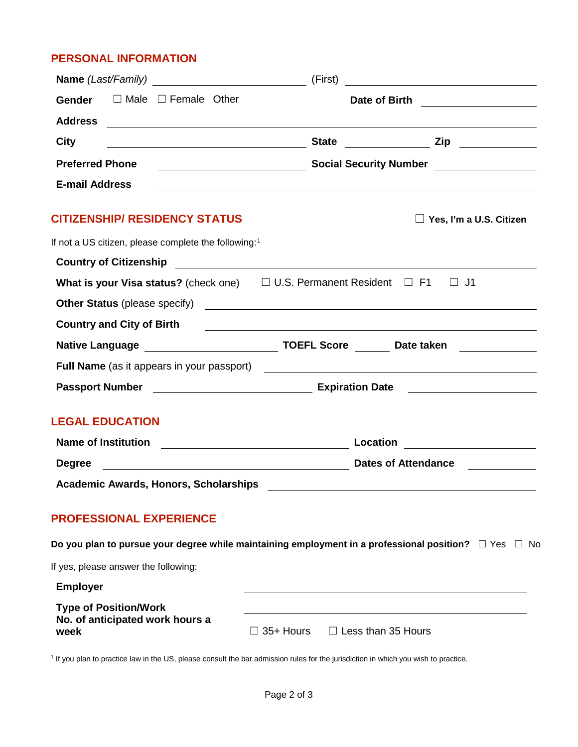# **PERSONAL INFORMATION**

|                                                                            | (First)<br><u> 1989 - Johann Stoff, fransk politik (d. 1989)</u>                                                                                                                                                                   |
|----------------------------------------------------------------------------|------------------------------------------------------------------------------------------------------------------------------------------------------------------------------------------------------------------------------------|
| $\Box$ Male $\Box$ Female Other<br><b>Gender</b>                           | Date of Birth _________________                                                                                                                                                                                                    |
| <b>Address</b>                                                             |                                                                                                                                                                                                                                    |
| City<br><u> 1980 - Johann Barbara, martxa amerikan personal (h. 1980).</u> |                                                                                                                                                                                                                                    |
| <b>Preferred Phone</b>                                                     | <b>Maria Contract Social Security Number Maritimes And American Contract Oriental Contract Oriental Contract Oriental Contract Oriental Contract Oriental Contract Oriental Contract Oriental Contract Oriental Contract Orien</b> |
| <b>E-mail Address</b>                                                      |                                                                                                                                                                                                                                    |
| <b>CITIZENSHIP/ RESIDENCY STATUS</b>                                       | $\Box$ Yes, I'm a U.S. Citizen                                                                                                                                                                                                     |
| If not a US citizen, please complete the following: <sup>1</sup>           |                                                                                                                                                                                                                                    |
| <b>Country of Citizenship</b>                                              | <u> 1980 - Johann Stein, fransk politik (f. 1980)</u>                                                                                                                                                                              |
|                                                                            | What is your Visa status? (check one) $\Box$ U.S. Permanent Resident $\Box$ F1<br>$\Box$ J1                                                                                                                                        |
| <b>Other Status</b> (please specify)                                       | <u> 1989 - Andrea Stadt Britain, fransk politik (d. 1989)</u>                                                                                                                                                                      |
| <b>Country and City of Birth</b>                                           | <u> 1989 - Johann Stoff, deutscher Stoffen und der Stoffen und der Stoffen und der Stoffen und der Stoffen und der</u>                                                                                                             |
|                                                                            | <u> a shekara ta 1999 a shekara t</u>                                                                                                                                                                                              |
| Full Name (as it appears in your passport)                                 | <u> 1989 - Johann Barbara, martxa eta batarra (h. 1982).</u>                                                                                                                                                                       |
| Passport Number ______________________________                             | <b>Expiration Date</b><br><u> 1989 - Andrea Station Barbara (h. 1989)</u>                                                                                                                                                          |
| <b>LEGAL EDUCATION</b>                                                     |                                                                                                                                                                                                                                    |
| <b>Name of Institution</b>                                                 | Location<br><u> 1980 - Jan Barat, martin a</u>                                                                                                                                                                                     |
| <b>Degree</b>                                                              | <b>Dates of Attendance</b><br><u> 1989 - Johann Barn, fransk politik (d. 1989)</u><br><u> 1990 - Jan Jawa Barat, president politik (</u>                                                                                           |
| <b>Academic Awards, Honors, Scholarships</b>                               |                                                                                                                                                                                                                                    |
| <b>PROFESSIONAL EXPERIENCE</b>                                             |                                                                                                                                                                                                                                    |
|                                                                            | Do you plan to pursue your degree while maintaining employment in a professional position? $\;\;\Box\;$ Yes $\;\;\Box\;$ No                                                                                                        |
| If yes, please answer the following:                                       |                                                                                                                                                                                                                                    |
| <b>Employer</b>                                                            |                                                                                                                                                                                                                                    |
| <b>Type of Position/Work</b><br>No. of anticipated work hours a<br>week    | $\Box$ 35+ Hours<br>$\Box$ Less than 35 Hours                                                                                                                                                                                      |

<sup>1</sup> If you plan to practice law in the US, please consult the bar admission rules for the jurisdiction in which you wish to practice.